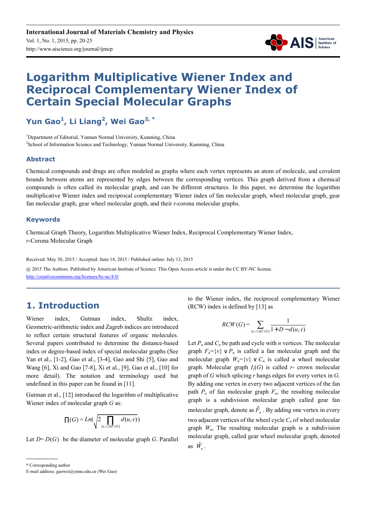

# **Logarithm Multiplicative Wiener Index and Reciprocal Complementary Wiener Index of Certain Special Molecular Graphs**

**Yun Gao<sup>1</sup> , Li Liang<sup>2</sup> , Wei Gao2, \*** 

<sup>1</sup>Department of Editorial, Yunnan Normal University, Kunming, China <sup>2</sup> School of Information Science and Technology, Yunnan Normal University, Kunming, China

#### **Abstract**

Chemical compounds and drugs are often modeled as graphs where each vertex represents an atom of molecule, and covalent bounds between atoms are represented by edges between the corresponding vertices. This graph derived from a chemical compounds is often called its molecular graph, and can be different structures. In this paper, we determine the logarithm multiplicative Wiener index and reciprocal complementary Wiener index of fan molecular graph, wheel molecular graph, gear fan molecular graph, gear wheel molecular graph, and their r-corona molecular graphs.

#### **Keywords**

Chemical Graph Theory, Logarithm Multiplicative Wiener Index, Reciprocal Complementary Wiener Index, *r*-Corona Molecular Graph

Received: May 30, 2015 / Accepted: June 14, 2015 / Published online: July 13, 2015

@ 2015 The Authors. Published by American Institute of Science. This Open Access article is under the CC BY-NC license. http://creativecommons.org/licenses/by-nc/4.0/

### **1. Introduction**

Wiener index, Gutman index, Shultz index, Geometric-arithmetic index and Zagreb indices are introduced to reflect certain structural features of organic molecules. Several papers contributed to determine the distance-based index or degree-based index of special molecular graphs (See Yan et al., [1-2], Gao et al., [3-4], Gao and Shi [5], Gao and Wang [6], Xi and Gao [7-8], Xi et al., [9], Gao et al., [10] for more detail). The notation and terminology used but undefined in this paper can be found in [11].

Gutman et al., [12] introduced the logarithm of multiplicative Wiener index of molecular graph *G* as:

$$
\Pi(G) = Ln\left(\sqrt{2\prod_{\{u,v\}\subset V(G)}d(u,v)}\right)
$$

Let  $D = D(G)$  be the diameter of molecular graph *G*. Parallel

to the Wiener index, the reciprocal complementary Wiener (RCW) index is defined by [13] as

$$
RCW(G) = \sum_{\{u,v\} \subseteq V(G)} \frac{1}{1 + D - d(u,v)}
$$

Let  $P_n$  and  $C_n$  be path and cycle with *n* vertices. The molecular graph  $F_n = \{v\} \vee P_n$  is called a fan molecular graph and the molecular graph  $W<sub>n</sub> = \{v\} \vee C<sub>n</sub>$  is called a wheel molecular graph. Molecular graph  $I_r(G)$  is called  $r$ - crown molecular graph of *G* which splicing *r* hangs edges for every vertex in *G*. By adding one vertex in every two adjacent vertices of the fan path  $P_n$  of fan molecular graph  $F_n$ , the resulting molecular graph is a subdivision molecular graph called gear fan molecular graph, denote as  $\tilde{F}_n$ . By adding one vertex in every two adjacent vertices of the wheel cycle *C<sup>n</sup>* of wheel molecular graph  $W_n$ , The resulting molecular graph is a subdivision molecular graph, called gear wheel molecular graph, denoted as  $\tilde{W}_n$ .

<sup>\*</sup> Corresponding author

E-mail address: gaowei@ynnu.edu.cn (Wei Gao)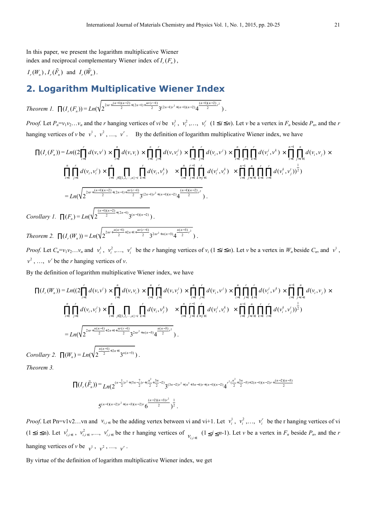In this paper, we present the logarithm multiplicative Wiener index and reciprocal complementary Wiener index of  $I_r(F_n)$ ,

$$
I_r(W_n)
$$
,  $I_r(\tilde{F}_n)$  and  $I_r(\tilde{W}_n)$ .

## **2. Logarithm Multiplicative Wiener Index**

*Theorem 1.*  $\prod(I_r(F_n)) = Ln(\sqrt{2^{2nr+\frac{(n-1)(n-2)}{2}+(2n-1)+\frac{nr(r-1)}{2}}}3^{(2n-1)r^2+(n-1)(n-2)}4^{\frac{(n-1)(n-2)}{2}r^2}$ .

*Proof.* Let  $P_n = v_1v_2...v_n$  and the *r* hanging vertices of *vi* be  $v_i^1$ ,  $v_i^2$ ,...,  $v_i^r$  ( $1 \le i \le n$ ). Let *v* be a vertex in  $F_n$  beside  $P_n$ , and the *r* hanging vertices of *v* be  $v^1$ ,  $v^2$ , ...,  $v^r$ . By the definition of logarithm multiplicative Wiener index, we have

$$
\prod(I_r(F_n)) = Ln((2\prod_{i=1}^r d(v, v^i) \times \prod_{i=1}^n d(v, v_i) \times \prod_{i=1}^n \prod_{j=1}^r d(v, v_i^j) \times \prod_{i=1}^n \prod_{j=1}^r d(v_i, v^j) \times \prod_{i=1}^n \prod_{j=1}^r k = 1 \text{ if } d(v_i^j, v^k) \times \prod_{i=1}^n \prod_{j=1}^r d(v_i^j, v_j) \times \prod_{i=1}^n \prod_{j=1}^r d(v_i^j, v_i^j) \times \prod_{i=1}^n \prod_{j=1}^r d(v_i^j, v_i^j) \times \prod_{i=1}^n \prod_{j=1}^r \prod_{k=1}^r d(v_i^j, v_i^k) \times \prod_{i=1}^n \prod_{j=1}^r \prod_{k=1}^r d(v_i^j, v_i^k) \times \prod_{i=1}^n \prod_{j=i+1}^n \prod_{k=1}^r \prod_{i=1}^r d(v_i^k, v_i^j) \times \prod_{i=1}^n \prod_{j=i+1}^r \prod_{k=1}^r d(v_i^k, v_j^j) \times \prod_{i=1}^n \prod_{j=i+1}^r \prod_{k=1}^r d(v_i^k, v_j^j) \times \prod_{i=1}^n \prod_{j=i+1}^r \prod_{k=1}^r d(v_i^j, v_i^j) \times \prod_{i=1}^n \prod_{j=i+1}^r d(v_i^j, v_i^j) \times \prod_{i=1}^n \prod_{j=i+1}^r d(v_i^j, v_i^j) \times \prod_{i=1}^n \prod_{j=i+1}^r d(v_i^j, v_i^j) \times \prod_{i=1}^n \prod_{j=i+1}^r d(v_i^j, v_i^j) \times \prod_{i=1}^n \prod_{j=i+1}^r d(v_i^j, v_i^j) \times \prod_{i=1}^n \prod_{j=i+1}^r d(v_i^j, v_i^j) \times \prod_{i=1}^n \prod_{j=i+1}^r d(v_i^j, v_i^j) \times \prod_{i=1}^n \prod_{j=i+1}^r d(v_i^j, v_i^j) \times \prod_{i=1}^n \prod_{j=i+1}^r
$$

*Corollary 1.*  $\prod(F_n) = Ln(\sqrt{2^{\frac{(n-1)(n-2)}{2}+(2n-1)}}3^{(n-1)(n-2)})$ .

*Theorem 2.*  $\Pi(I_r(W_n)) = Ln(\sqrt{2^{2nr + \frac{n(n-1)}{2} + 2n+1+\frac{nr(r-1)}{2}} 3^{2nr^2 + n(n-3)} 4^{\frac{n(n-3)}{2}r^2}})$ .

*Proof.* Let  $C_n = v_1v_2...v_n$  and  $v_i^1$ ,  $v_i^2,..., v_i^r$  be the *r* hanging vertices of  $v_i$  ( $1 \le i \le n$ ). Let *v* be a vertex in  $W_n$  beside  $C_n$ , and  $v^1$ ,  $v^2$ , ...,  $v^r$  be the *r* hanging vertices of *v*.

By the definition of logarithm multiplicative Wiener index, we have

$$
\prod(I_r(W_n)) = Ln((2\prod_{i=1}^r d(v, v^i) \times \prod_{i=1}^n d(v, v_i) \times \prod_{i=1}^n \prod_{j=1}^r d(v, v_i^j) \times \prod_{i=1}^n \prod_{j=1}^r d(v_i, v^j) \times \prod_{i=1}^n \prod_{j=1}^r d(v_i^j, v^k) \times \prod_{i=1}^n \prod_{j=1}^r d(v_i^j, v^k) \times \prod_{i=1}^n \prod_{j=1}^r d(v_i^j, v^j) \times \prod_{i=1}^n \prod_{j=1}^r d(v_i^j, v^j) \times \prod_{i=1}^n \prod_{j=1}^r d(v_i^j, v^k) \times \prod_{i=1}^n \prod_{j=1}^r \prod_{k=1}^r d(v^j, v^k) \times \prod_{i=1}^n \prod_{j=i+1}^r \prod_{k=1}^r \prod_{j=1}^r d(v^k, v^k, v^j) \times \prod_{i=1}^n \prod_{j=i+1}^r d(v^k, v^k, v^j) \times \prod_{i=1}^n \prod_{j=i+1}^r d(v^k, v^k, v^j) \times \prod_{i=1}^n \prod_{j=i+1}^r d(v^k, v^k, v^j) \times \prod_{i=1}^n \prod_{j=i+1}^r d(v^k, v^k, v^k) \times \prod_{i=1}^n \prod_{j=i+1}^r d(v^k, v^k, v^k) \times \prod_{i=1}^n \prod_{j=i+1}^r d(v^k, v^k, v^k) \times \prod_{i=1}^n \prod_{j=i+1}^r d(v^k, v^k, v^k) \times \prod_{i=1}^n \prod_{j=i+1}^r d(v^k, v^k, v^k) \times \prod_{i=1}^n \prod_{j=i+1}^r d(v^k, v^k, v^k) \times \prod_{i=1}^n \prod_{j=i+1}^r d(v^k, v^k, v^k) \times \prod_{i=1}^n \prod_{j=i+1}^r d(v^k, v^k, v^k) \times \prod_{i=1}^n \prod_{j=i+1}^r d(v^k, v^k, v^k) \times \prod_{i=1}^n \
$$

*Corollary 2.*  $\prod(W_n) = Ln(\sqrt{2^{\frac{n(n-1)}{2}+2n+1}}3^{n(n-3)})$ .

*Theorem 3.* 

$$
\prod(I_r(\tilde{F}_n)) = \prod_{n=2}^{\infty} (2^{(n-\frac{1}{2})r^2 + (5n-\frac{7}{2})r + (\frac{n^2}{2}+\frac{3n}{2}-2)}3^{(3n-2)r^2 + (n^2+3n-6)r + (n-1)(n-2)}4^{r^2(\frac{n^2}{2}+\frac{3n}{2}-3)+2(n-1)(n-2)r + \frac{(n-2)(n-3)}{2}}
$$
  

$$
5^{(n-1)(n-2)r^2 + (n-3)(n-2)r}6^{\frac{(n-2)(n-3)r^2}{2}})^{\frac{1}{2}}.
$$

*Proof.* Let Pn=v1v2...vn and  $v_{i,i+1}$  be the adding vertex between vi and vi+1. Let  $v_i^1$ ,  $v_i^2$ ,...,  $v_i^r$  be the r hanging vertices of vi  $(1 \le i \le n)$ . Let  $v_{i,i+1}^1$ ,  $v_{i,i+1}^2$ ,...,  $v_{i,i+1}^r$  be the r hanging vertices of  $v_{i,i+1}$   $(1 \le i \le n-1)$ . Let v be a vertex in  $F_n$  beside  $P_n$ , and the r hanging vertices of *v* be  $v^1$ ,  $v^2$ , ...,  $v^r$ .

By virtue of the definition of logarithm multiplicative Wiener index, we get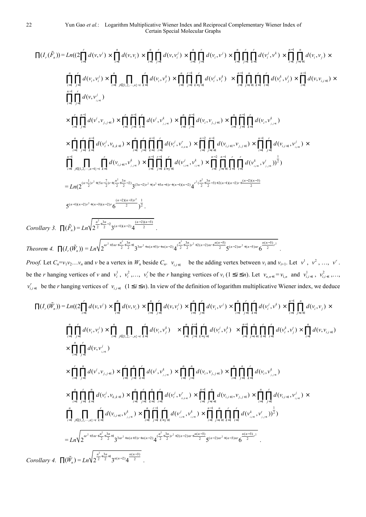$$
\prod(I_{r}(\tilde{F}_{n})) = Ln((2\prod_{i=1}^{r}d(v,v^{i}) \times \prod_{i=1}^{n}d(v,v_{i}) \times \prod_{i=1}^{n} \prod_{j=1}^{r}d(v,v^{j}) \times \prod_{i=1}^{n} \prod_{j=1}^{r}d(v_{i},v^{j}) \times \prod_{i=1}^{n} \prod_{j=1}^{r}d(v_{i},v^{j}) \times \prod_{i=1}^{n} \prod_{j=1}^{r}d(v_{i},v^{j}) \times \prod_{i=1}^{n} \prod_{j=1}^{r}d(v_{i},v^{j}) \times \prod_{i=1}^{n} \prod_{j=1}^{r}d(v_{i},v^{j}) \times \prod_{i=1}^{n} \prod_{j=1}^{r}d(v_{i},v_{j}) \times \prod_{i=1}^{n} \prod_{j=1}^{r}d(v_{i},v_{j}) \times \prod_{i=1}^{n} \prod_{j=1}^{r}d(v,v_{i,j+1}) \times \prod_{i=1}^{n} \prod_{j=1}^{r}d(v,v_{i,j+1})
$$
\n
$$
\times \prod_{i=1}^{r} \prod_{j=1}^{n}d(v,v_{i,j+1}) \times \prod_{i=1}^{r} \prod_{j=1}^{n} d(v^{i},v_{j,j+1}) \times \prod_{i=1}^{r} \prod_{j=1}^{n} d(v^{i},v_{j,j+1}) \times \prod_{i=1}^{n} \prod_{j=1}^{n} d(v_{i},v_{j,j+1}) \times \prod_{i=1}^{n} \prod_{j=1}^{n} d(v_{i},v_{j,j+1}) \times \prod_{i=1}^{n} \prod_{j=1}^{r} d(v_{i},v_{j,j+1}) \times \prod_{i=1}^{n} \prod_{j=1}^{r} d(v_{i},v_{j,j+1}) \times \prod_{i=1}^{n} \prod_{j=1}^{r} d(v_{i},v_{j,j+1}) \times \prod_{i=1}^{n} \prod_{j=1}^{r} d(v_{i},v_{j,j+1}) \times \prod_{i=1}^{n} \prod_{j=1}^{r} d(v_{i},v_{i,j+1}) \times \prod_{i=1}^{n} \prod_{j=1}^{r} d(v_{i},v_{i,j+1}) \times \prod_{i=1}^{n} \prod_{j=1}^{r
$$

Theorem 4. 
$$
\Pi(I_r(\tilde{W}_n)) = Ln \sqrt{2^{m^2+3mr+\frac{n^2}{2}+\frac{3n}{2}+1}3^{3nr^2+n(n+3)r+n(n-2)}4^{\frac{(n^2+3n}{2}r^2+2(n-2)nr+\frac{n(n-3)}{2}}5^{(n-2)nr^2+(n-3)nr}6^{\frac{n(n-3)}{2}r^2}}
$$

*Proof.* Let  $C_n = v_1v_2...v_n$  and v be a vertex in  $W_n$  beside  $C_n$ .  $v_{i,i+1}$  be the adding vertex between  $v_i$  and  $v_{i+1}$ . Let  $v^1$ ,  $v^2$ , ...,  $v^r$ . be the *r* hanging vertices of *v* and  $v_i^1$ ,  $v_i^2$ ,...,  $v_i^r$  be the *r* hanging vertices of  $v_i$  ( $1 \le i \le n$ ). Let  $v_{n,n+1} = v_{1,n}$  and  $v_{i,i+1}^1$ ,  $v_{i,i+1}^2$ ,...,  $v_{i,i+1}^r$  be the *r* hanging vertices of  $v_{i,i+1}$   $(1 \le i \le n)$ . In view of the definition of logarithm multiplicative Wiener index, we deduce

*.* 

$$
\prod(I_r(\tilde{W}_n)) = Ln(2\prod_{i=1}^r d(v,v') \times \prod_{i=1}^n d(v,v_i) \times \prod_{i=1}^n \prod_{j=1}^r d(v,v_i') \times \prod_{i=1}^n \prod_{j=1}^r d(v_i,v_j') \times \prod_{i=1}^n \prod_{j=1}^r d(v_i,v_j') \times \prod_{i=1}^n \prod_{j=1}^r d(v_i,v_j') \times \prod_{i=1}^n \prod_{j=1}^r d(v_i,v_j') \times \prod_{i=1}^n \prod_{j=1}^r d(v_i,v_j') \times \prod_{i=1}^n \prod_{j=1}^r d(v_i,v_j') \times \prod_{i=1}^n \prod_{j=1}^r d(v_i,v_j') \times \prod_{i=1}^n \prod_{j=1}^r d(v_i,v_j') \times \prod_{i=1}^n \prod_{j=1}^r d(v_i,v_j') \times \prod_{i=1}^n d(v,v_{i,i+1})
$$
  
\n
$$
\times \prod_{i=1}^n \prod_{j=1}^r d(v,v_{j,i+1}) \times \prod_{i=1}^r \prod_{j=1}^n \prod_{k=1}^r d(v',v_{j,j+1}) \times \prod_{i=1}^n \prod_{j=1}^r d(v',v_{j,j+1}) \times \prod_{i=1}^n \prod_{j=1}^n d(v_i,v_{j,j+1}) \times \prod_{i=1}^n \prod_{j=1}^n d(v_i,v_{j,i+1})
$$
  
\n
$$
\times \prod_{i=1}^n \prod_{j=1}^r \prod_{k=1}^r d(v_i',v_{j,j+1}) \times \prod_{i=1}^n \prod_{j=1}^r \prod_{k=1}^r d(v_i',v_{j,i+1}) \times \prod_{i=1}^n \prod_{j=1}^n d(v_{i,i+1},v_{j,j+1}) \times \prod_{i=1}^n \prod_{j=1}^r d(v_{i,i+1},v_{j,i+1}) \times \prod_{i=1}^n \prod_{j=1}^r d(v_{i,i+1},v_{j,i+1})
$$
  
\n
$$
\prod_{i=1}^n \prod_{j=1}^r \prod_{k=1}^r d(v_i,v_{j,k+1}) \times \prod_{i=1}^n \prod_{j=1}^r d(v_i
$$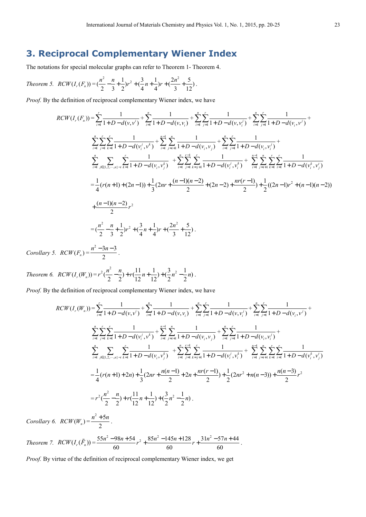## **3. Reciprocal Complementary Wiener Index**

The notations for special molecular graphs can refer to Theorem 1- Theorem 4.

Theorem 5. 
$$
RCW(I_r(F_n)) = \left(\frac{n^2}{2} - \frac{n}{3} + \frac{1}{2}\right)r^2 + \left(\frac{3}{4}n + \frac{1}{4}\right)r + \left(\frac{2n^2}{3} + \frac{5}{12}\right).
$$

*Proof.* By the definition of reciprocal complementary Wiener index, we have

$$
RCW(I_r(F_n)) = \sum_{i=1}^r \frac{1}{1+D-d(v,v^i)} + \sum_{i=1}^n \frac{1}{1+D-d(v,v_i)} + \sum_{i=1}^n \sum_{j=1}^r \frac{1}{1+D-d(v,v_i^j)} + \sum_{i=1}^n \sum_{j=1}^r \frac{1}{1+D-d(v_i,v^j)} + \sum_{i=1}^n \sum_{j=1}^r \frac{1}{1+D-d(v_i,v^j)} + \sum_{i=1}^n \sum_{j=1}^r \frac{1}{1+D-d(v_i,v^j)} + \sum_{i=1}^n \sum_{j=1}^r \frac{1}{1+D-d(v_i,v_j^j)} + \sum_{i=1}^n \sum_{j=1}^r \sum_{k=j+1}^r \frac{1}{1+D-d(v_i,v^k_j)} + \sum_{i=1}^n \sum_{j=1}^r \sum_{k=j+1}^r \frac{1}{1+D-d(v_i,v^k_j)} + \sum_{i=1}^n \sum_{j=1}^r \sum_{k=1}^r \sum_{j=1}^r \sum_{k=1}^r \sum_{j=1}^r \frac{1}{1+D-d(v_i^i,v^k_j)}
$$
  
\n
$$
= \frac{1}{4}(r(n+1)+(2n-1))+\frac{1}{3}(2nr+\frac{(n-1)(n-2)}{2}+(2n-2)+\frac{nr(r-1)}{2})+\frac{1}{2}((2n-1)r^2+(n-1)(n-2)) + \frac{(n-1)(n-2)}{2}r^2
$$
  
\n
$$
= (\frac{n^2}{2}-\frac{n}{3}+\frac{1}{2})r^2+(\frac{3}{4}n+\frac{1}{4})r+(\frac{2n^2}{3}+\frac{5}{12}).
$$

*Corollary 5.*  $RCW(F_n) =$  $2^2 - 3n - 3$ 2  $\frac{n^2-3n-3}{2}$ .

*Theorem 6.*  $RCW(I_r(W_n)) =$  $2\left(\frac{n^2}{2}-\frac{n}{2}\right)+r\left(\frac{11}{2}n+\frac{1}{2}\right)+\left(\frac{3}{2}n^2-\frac{1}{2}n\right)$ . 2 2  $12$   $12$   $2$   $2$  $r^2(\frac{n^2}{2}-\frac{n}{2})+r(\frac{11}{2}n+\frac{1}{2})+(\frac{3}{2}n^2-\frac{1}{2}n)$ .

*Proof.* By the definition of reciprocal complementary Wiener index, we have

$$
RCW(I_r(W_n)) = \sum_{i=1}^r \frac{1}{1+D-d(v,v^i)} + \sum_{i=1}^n \frac{1}{1+D-d(v,v_i)} + \sum_{i=1}^n \sum_{j=1}^r \frac{1}{1+D-d(v,v_i^j)} + \sum_{i=1}^n \sum_{j=1}^r \frac{1}{1+D-d(v_i,v^j)} + \sum_{i=1}^n \sum_{j=1}^r \frac{1}{1+D-d(v_i,v^j)} + \sum_{i=1}^n \sum_{j=1}^r \frac{1}{1+D-d(v_i,v^j)} + \sum_{i=1}^n \sum_{j=1}^r \frac{1}{1+D-d(v_i,v^j)} + \sum_{i=1}^n \sum_{j=1}^r \frac{1}{1+D-d(v_i,v^j)} + \sum_{i=1}^n \sum_{j=1}^r \sum_{k=j+1}^r \frac{1}{1+D-d(v_i^j,v^k)} + \sum_{i=1}^n \sum_{j=1}^r \sum_{k=j+1}^r \frac{1}{1+D-d(v_i^j,v^k)} + \sum_{i=1}^n \sum_{j=i+1}^n \sum_{k=1}^r \sum_{j=1}^r \frac{1}{1+D-d(v_i^k,v^j)} + \sum_{i=1}^n \sum_{j=i+1}^r \sum_{k=1}^r \frac{1}{1+D-d(v_i^k,v^j)} + \sum_{i=1}^n \sum_{j=i+1}^r \sum_{k=1}^r \frac{1}{1+D-d(v_i^k,v^j)} + \sum_{i=1}^n \sum_{j=i+1}^r \sum_{k=1}^r \frac{1}{1+D-d(v_i^k,v^j)} + \sum_{i=1}^n \sum_{j=i+1}^r \sum_{k=1}^r \frac{1}{1+D-d(v_i^k,v^j)} + \sum_{i=1}^n \sum_{j=i+1}^r \sum_{k=1}^r \frac{1}{1+D-d(v_i^k,v^j)} + \sum_{i=1}^n \sum_{j=i+1}^r \sum_{k=1}^r \frac{1}{1+D-d(v_i^k,v^j)} + \sum_{i=1}^n \sum_{j=i+1}^r \sum_{k=1}^r \frac{1}{1+D-d(v_i^k,v^j)} + \sum_{i=1}^n \sum_{j=i+1}^r \sum_{k=1}^r \frac{
$$

*Corollary 6.*  $RCW(W_n) =$  $^{2}+5$ 2  $\frac{n^2+5n}{2}$ .

Theorem 7. 
$$
RCW(I_r(\tilde{F}_n)) = \frac{55n^2 - 98n + 54}{60}r^2 + \frac{85n^2 - 145n + 128}{60}r + \frac{31n^2 - 57n + 44}{60}.
$$

*Proof.* By virtue of the definition of reciprocal complementary Wiener index, we get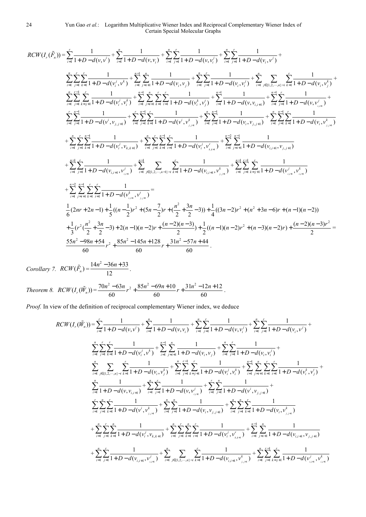$$
RCW(I_{r}(\tilde{F}_{n})) = \sum_{i=1}^{r} \frac{1}{1+D-d(v,v^{i})} + \sum_{i=1}^{n} \frac{1}{1+D-d(v,v_{i})} + \sum_{i=1}^{n} \sum_{j=1}^{r} \frac{1}{1+D-d(v,v^{i})} + \sum_{i=1}^{n} \sum_{j=1}^{r} \frac{1}{1+D-d(v,v^{i})} + \sum_{i=1}^{n} \sum_{j=1}^{r} \frac{1}{1+D-d(v,v^{i})} + \sum_{i=1}^{n} \sum_{j=1}^{r} \frac{1}{1+D-d(v,v^{i})} + \sum_{i=1}^{n} \sum_{j=i}^{r} \frac{1}{1+D-d(v,v^{i})} + \sum_{i=1}^{n} \sum_{j=i}^{r} \frac{1}{1+D-d(v,v^{i})} + \sum_{i=1}^{n} \sum_{j=i}^{r} \frac{1}{1+D-d(v,v^{i})} + \sum_{i=1}^{n} \sum_{j=i}^{r} \sum_{k=1}^{r} \frac{1}{1+D-d(v,v^{i})} + \sum_{i=1}^{n} \sum_{j=i}^{r} \sum_{k=1}^{r} \frac{1}{1+D-d(v,v^{i})} + \sum_{i=1}^{n} \sum_{j=i}^{r} \sum_{k=1}^{r} \frac{1}{1+D-d(v,v^{i})} + \sum_{i=1}^{n} \sum_{j=i}^{r} \sum_{k=1}^{r} \frac{1}{1+D-d(v,v^{i})} + \sum_{i=1}^{n} \sum_{j=i}^{r} \frac{1}{1+D-d(v,v^{i})} + \sum_{i=1}^{n} \sum_{j=i}^{r} \frac{1}{1+D-d(v,v^{i})} + \sum_{i=1}^{n} \sum_{j=i}^{r} \sum_{k=1}^{r} \frac{1}{1+D-d(v,v^{i})} + \sum_{i=1}^{n} \sum_{j=i}^{r} \sum_{k=1}^{r} \frac{1}{1+D-d(v^{i},v^{i})} + \sum_{i=1}^{n} \sum_{j=i}^{r} \sum_{k=1}^{r} \frac{1}{1+D-d(v,v^{i})} + \sum_{i=1}^{n} \sum_{j=i}^{r} \sum_{k=1}^{r} \frac{1}{1+D-d(v,v^{i})} + \sum_{i=1}^{n}
$$

*Corollary 7.*  $RCW(\tilde{F}_n) = \frac{14n^2 - 36n + 33}{12}$ 12  $\frac{n^2-36n+33}{12}$ .

*Theorem 8.*  $RCW(I_r(\tilde{W}_n)) = \frac{70n^2 - 63n}{60}r^2 + \frac{85n^2 - 69n + 10}{60}r + \frac{31n^2 - 12n + 12}{60}$ 60 60 60  $\frac{n^2 - 63n}{r^2} + \frac{85n^2 - 69n + 10}{r^2} + \frac{31n^2 - 12n + 12}{r^2}.$ 

*Proof.* In view of the definition of reciprocal complementary Wiener index, we deduce

$$
RCW(I_r(\tilde{W}_n)) = \sum_{i=1}^r \frac{1}{1+D-d(v,v^i)} + \sum_{i=1}^n \frac{1}{1+D-d(v,v_i)} + \sum_{i=1}^n \sum_{j=1}^r \frac{1}{1+D-d(v,v_{i^{'}})} + \sum_{i=1}^n \sum_{j=1}^r \frac{1}{1+D-d(v_{i,v^{'}})}
$$
  

$$
\sum_{i=1}^n \sum_{j=1}^r \sum_{k=1}^r \frac{1}{1+D-d(v_{i^{'}}^j, v^k)} + \sum_{i=1}^{n-1} \sum_{j=i+1}^n \frac{1}{1+D-d(v_{i^{'}}^j, v_j^j)} + \sum_{i=1}^n \sum_{j=1}^r \frac{1}{1+D-d(v_{i^{'}}^j, v_j^j)} + \sum_{i=1}^n \sum_{j=1}^r \sum_{k=1}^r \frac{1}{1+D-d(v_{i^{'}}^j, v_i^k)} + \sum_{i=1}^n \sum_{j=1}^r \sum_{k=j+1}^r \frac{1}{1+D-d(v_{i^{'}}^j, v_i^k)} + \sum_{i=1}^n \sum_{j=i+1}^n \sum_{k=1}^r \sum_{j=i+1}^r \frac{1}{1+D-d(v_{i^{'}}^j, v_{j^{'}}^j)} + \sum_{i=1}^n \sum_{j=1}^r \sum_{j=i+1}^r \frac{1}{1+D-d(v_{i^{'}}^j, v_{j^{'}}^j)} + \sum_{i=1}^n \sum_{j=i}^r \frac{1}{1+D-d(v_{i^{'}}^j, v_{j^{'}}^j)} + \sum_{i=1}^n \sum_{j=1}^r \frac{1}{1+D-d(v_{i^{'}}^j, v_{j^{'}}^j)} + \sum_{i=1}^n \sum_{j=1}^n \frac{1}{1+D-d(v_{i^{'}}^j, v_{j^{'}}^j)} + \sum_{i=1}^n \sum_{j=1}^n \sum_{k=1}^r \frac{1}{1+D-d(v_{i^{'}}^j, v_{j^{'}}^j)} + \sum_{i=1}^n \sum_{j=1}^r \sum_{k=1}^r \frac{1}{1+D-d(v_{i^{'}}^j, v_{j^{'}}^j)} + \sum_{i=1}^n \
$$